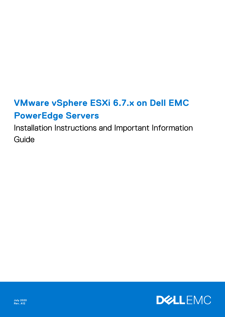# **VMware vSphere ESXi 6.7.x on Dell EMC PowerEdge Servers**

Installation Instructions and Important Information Guide

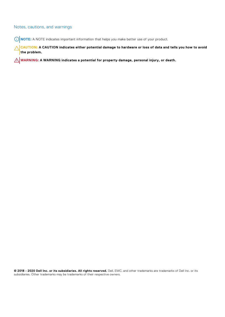### Notes, cautions, and warnings

**NOTE:** A NOTE indicates important information that helps you make better use of your product.

**CAUTION: A CAUTION indicates either potential damage to hardware or loss of data and tells you how to avoid the problem.**

**WARNING: A WARNING indicates a potential for property damage, personal injury, or death.**

**© 2018 - 2020 Dell Inc. or its subsidiaries. All rights reserved.** Dell, EMC, and other trademarks are trademarks of Dell Inc. or its subsidiaries. Other trademarks may be trademarks of their respective owners.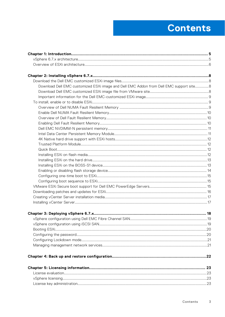# **Contents**

| Download Dell EMC customized ESXi image and Dell EMC Addon from Dell EMC support site 8 |  |
|-----------------------------------------------------------------------------------------|--|
|                                                                                         |  |
|                                                                                         |  |
|                                                                                         |  |
|                                                                                         |  |
|                                                                                         |  |
|                                                                                         |  |
|                                                                                         |  |
|                                                                                         |  |
|                                                                                         |  |
|                                                                                         |  |
|                                                                                         |  |
|                                                                                         |  |
|                                                                                         |  |
|                                                                                         |  |
|                                                                                         |  |
|                                                                                         |  |
|                                                                                         |  |
|                                                                                         |  |
|                                                                                         |  |
|                                                                                         |  |
|                                                                                         |  |
|                                                                                         |  |
|                                                                                         |  |
|                                                                                         |  |
|                                                                                         |  |
|                                                                                         |  |
|                                                                                         |  |
|                                                                                         |  |
|                                                                                         |  |
|                                                                                         |  |
|                                                                                         |  |
|                                                                                         |  |
|                                                                                         |  |
|                                                                                         |  |
|                                                                                         |  |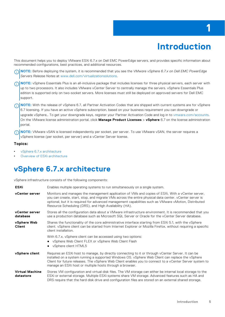# **Introduction**

**1**

<span id="page-4-0"></span>This document helps you to deploy VMware ESXi 6.7.x on Dell EMC PowerEdge servers, and provides specific information about recommended configurations, best practices, and additional resources.

**NOTE:** Before deploying the system, it is recommended that you see the *VMware vSphere 6.7.x on Dell EMC PowerEdge* നി *Servers Release Notes* at [www.dell.com/virtualizationsolutions](https://www.dell.com/virtualizationsolutions).

**(i)** NOTE: vSphere Essentials Plus is an all-inclusive package that includes licenses for three physical servers, each server with up to two processors. It also includes VMware vCenter Server to centrally manage the servers. vSphere Essentials Plus edition is supported only on two-socket servers. More licenses must still be deployed on approved servers for Dell EMC support.

**(i)** NOTE: With the release of vSphere 6.7, all Partner Activation Codes that are shipped with current systems are for vSphere 6.7 licensing. If you have an active vSphere subscription, based on your business requirement you can downgrade or upgrade vSphere,. To get your downgrade keys, register your Partner Activation Code and log in to [vmware.com/accounts](https://vmware.com/accounts). On the VMware license administration portal, click **Manage Product Licenses** > **vSphere** 6.7 on the license administration portal.

**NOTE:** VMware vSAN is licensed independently per socket, per server. To use VMware vSAN, the server requires a vSphere license (per socket, per server) and a vCenter Server license.

#### **Topics:**

- vSphere 6.7.x architecture
- [Overview of ESXi architecture](#page-5-0)

## **vSphere 6.7.x architecture**

vSphere infrastructure consists of the following components:

| <b>ESXi</b>                         | Enables multiple operating systems to run simultaneously on a single system.                                                                                                                                                                                                                                                                                                   |
|-------------------------------------|--------------------------------------------------------------------------------------------------------------------------------------------------------------------------------------------------------------------------------------------------------------------------------------------------------------------------------------------------------------------------------|
| vCenter server                      | Monitors and manages the management application of VMs and copies of ESXi. With a vCenter server,<br>you can create, start, stop, and migrate VMs across the entire physical data center. vCenter server is<br>optional, but it is required for advanced management capabilities such as VMware vMotion, Distributed<br>Resource Scheduling (DRS), and High Availability (HA). |
| vCenter server<br>database          | Stores all the configuration data about a VMware infrastructure environment. It is recommended that you<br>use a production database such as Microsoft SQL Server or Oracle for the vCenter Server database.                                                                                                                                                                   |
| vSphere Web<br><b>Client</b>        | Shares the functionality of the core administrative interface starting from ESXi 5.1, with the vSphere<br>client. vSphere client can be started from Internet Explorer or Mozilla Firefox, without requiring a specific<br>client installation.                                                                                                                                |
|                                     | With 6.7.x, vSphere client can be accessed using two options:<br>• vSphere Web Client FLEX or vSphere Web Client Flash<br>• vSphere client HTML5                                                                                                                                                                                                                               |
| vSphere client                      | Requires an ESXi host to manage, by directly connecting to it or through vCenter Server. It can be<br>installed on a system running a supported Windows OS. vSphere Web Client can replace the vSphere<br>Client for future releases. The vSphere Web Client enables you to connect to a vCenter Server system to<br>manage an ESXi host or multiple hosts through a browser.  |
| <b>Virtual Machine</b><br>datastore | Stores VM configuration and virtual disk files. The VM storage can either be internal local storage to the<br>ESXi or external storage. Multiple ESXi systems share VM storage. Advanced features such as HA and<br>DRS require that the hard disk drive and configuration files are stored on an external shared storage.                                                     |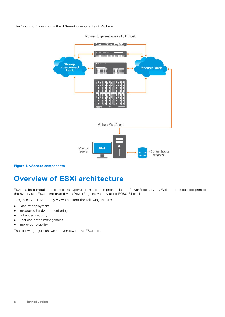<span id="page-5-0"></span>The following figure shows the different components of vSphere:



#### PowerEdge system as ESXi host

#### **Figure 1. vSphere components**

## **Overview of ESXi architecture**

ESXi is a bare-metal enterprise class hypervisor that can be preinstalled on PowerEdge servers. With the reduced footprint of the hypervisor, ESXi is integrated with PowerEdge servers by using BOSS-S1 cards.

Integrated virtualization by VMware offers the following features:

- Ease of deployment
- Integrated hardware monitoring
- Enhanced security
- Reduced patch management
- Improved reliability

The following figure shows an overview of the ESXi architecture.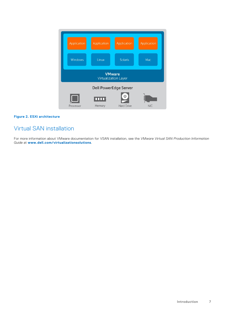| Application                           | Application | Application       | Application |
|---------------------------------------|-------------|-------------------|-------------|
| Windows                               | Linux       | <b>Solaris</b>    | Mac         |
| <b>VMware</b><br>Virtualization Layer |             |                   |             |
| <b>Dell PowerEdge Server</b>          |             |                   |             |
| Processor                             | Ш<br>Memory | <b>Hard Drive</b> | <b>NIC</b>  |

#### **Figure 2. ESXi architecture**

## Virtual SAN installation

For more information about VMware documentation for VSAN installation, see the *VMware Virtual SAN Production Information Guide* at **[www.dell.com/virtualizationsolutions](https://www.dell.com/virtualizationsolutions)**.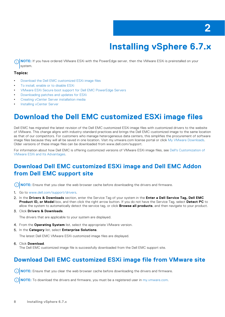# **Installing vSphere 6.7.x**

<span id="page-7-0"></span>**(i)** NOTE: If you have ordered VMware ESXi with the PowerEdge server, then the VMware ESXi is preinstalled on your system.

#### **Topics:**

- Download the Dell EMC customized ESXi image files
- [To install, enable or to disable ESXi](#page-8-0)
- [VMware ESXi Secure boot support for Dell EMC PowerEdge Servers](#page-14-0)
- [Downloading patches and updates for ESXi](#page-15-0)
- [Creating vCenter Server installation media](#page-16-0)
- [Installing vCenter Server](#page-16-0)

## **Download the Dell EMC customized ESXi image files**

Dell EMC has migrated the latest revision of the Dell EMC customized ESXi image files with customized drivers to the website of VMware. This change aligns with industry-standard practices and brings the Dell EMC-customized image to the same location as that of our competitors. For customers who manage heterogeneous data centers, this simplifies the procurement of software image files because they will all be saved in one location. Visit my.vmware.com license portal or click [My VMware Downloads.](https://my.vmware.com/group/vmware/downloads/info/slug/datacenter_cloud_infrastructure/vmware_vsphere/6_7#custom_iso) Older versions of these image files can be downloaded from www.dell.com/support.

For information about how Dell EMC is offering customized versions of VMware ESXi image files, see [Dell's Customization of](https://www.dell.com/support/article/sln314727) [VMware ESXi and Its Advantages.](https://www.dell.com/support/article/sln314727)

## **Download Dell EMC customized ESXi image and Dell EMC Addon from Dell EMC support site**

**NOTE:** Ensure that you clear the web browser cache before downloading the drivers and firmware.

- 1. Go to [www.dell.com/support/drivers.](https://www.dell.com/support/drivers)
- 2. In the **Drivers & Downloads** section, enter the Service Tag of your system in the **Enter a Dell Service Tag, Dell EMC Product ID, or Model** box, and then click the right arrow button. If you do not have the Service Tag, select **Detect PC** to allow the system to automatically detect the service tag, or click **Browse all products**, and then navigate to your product.
- 3. Click **Drivers & Downloads**.

The drivers that are applicable to your system are displayed.

- 4. From the **Operating System** list, select the appropriate VMware version.
- 5. In the **Category** list, select **Enterprise Solutions**.

The latest Dell EMC VMware ESXi customized image files are displayed.

6. Click **Download**.

The Dell EMC customized image file is successfully downloaded from the Dell EMC support site.

### **Download Dell EMC customized ESXi image file from VMware site**

**NOTE:** Ensure that you clear the web browser cache before downloading the drivers and firmware.

**NOTE:** To download the drivers and firmware, you must be a registered user in [my.vmware.com](https://my.vmware.com/web/vmware/home?bmctx=89E60DF848C641FD518EB9F6B9A6E5334F602FA3A762B409625CD531863AC847&contextType=external&username=string&password=secure_string&challenge_url=https://my.vmware.com/web/vmware/home&request_id=9141551675685215343&authn_try_count=0&locale=en_US&resource_url=https%253A%252F%252Fmy.vmware.com%252Fweb%252Fvmware%252Fchecksession).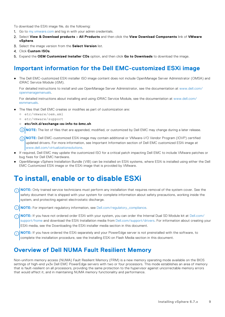<span id="page-8-0"></span>To download the ESXi image file, do the following:

- 1. Go to my. vm ware.com and log in with your admin credentials.
- 2. Select **View & Download products** > **All Products** and then click the **View Download Components** link of **VMware vSphere**.
- 3. Select the image version from the **Select Version** list.
- 4. Click **Custom ISOs**.
- 5. Expand the **OEM Customized Installer CDs** option, and then click **Go to Downloads** to download the image.

### **Important information for the Dell EMC-customized ESXi image**

● The Dell EMC-customized ESXi installer ISO image content does not include OpenManage Server Administrator (OMSA) and iDRAC Service Module (iSM).

For detailed instructions to install and use OpenManage Server Administrator, see the documentation at [www.dell.com/](https://www.dell.com/openmanagemanuals) [openmanagemanuals](https://www.dell.com/openmanagemanuals).

For detailed instructions about installing and using iDRAC Service Module, see the documentation at [www.dell.com/](https://www.dell.com/esmmanuals) [esmmanuals](https://www.dell.com/esmmanuals).

- The files that Dell EMC creates or modifies as part of customization are:
	- etc/vmware/oem.xml
	- etc/vmware/support
	- **etc/init.d/exchange-os-info-to-bmc.sh**

 $\bigcirc$ **NOTE:** The list of files that are appended, modified, or customized by Dell EMC may change during a later release.

- **NOTE:** Dell EMC-customized ESXi image may contain additional or VMware-I/O Vendor Program (IOVP) certified updated drivers. For more information, see Important Information section of Dell EMC customized ESXi image at [www.dell.com/virtualizationsolutions.](https://www.dell.com/virtualizationsolutions)
- If required, Dell EMC may update the customized ISO for a critical patch impacting Dell EMC to include VMware patches or bug fixes for Dell EMC hardware.
- OpenManage vSphere Installation Bundle (VIB) can be installed on ESXi systems, where ESXi is installed using either the Dell EMC Customized ESXi image or the ESXi image that is provided by VMware.

## **To install, enable or to disable ESXi**

- **NOTE:** Only trained service technicians must perform any installation that requires removal of the system cover. See the safety document that is shipped with your system for complete information about safety precautions, working inside the system, and protecting against electrostatic discharge.
- **NOTE:** For important regulatory information, see [Dell.com/regulatory\\_compliance](https://www.dell.com/learn/us/en/uscorp1/regulatory-compliance?C=US&S=CORP).
- **NOTE:** If you have not ordered order ESXi with your system, you can order the Internal Dual SD Module kit at [Dell.com/](https://www.dell.com/support/home) [support/home](https://www.dell.com/support/home) and download the ESXi Installation media from [Dell.com/support/drivers](https://www.dell.com/SUPPORT/HOME/PRODUCTS/?APP=DRIVERS). For information about creating your ESXi media, see the Downloading the ESXi installer media section in this document.
- **NOTE:** If you have ordered the ESXi separately and your PowerEdge server is not preinstalled with the software, to complete the installation procedure, see the Installing ESXi on Flash Media section in this document.

### **Overview of Dell NUMA Fault Resilient Memory**

Non-uniform memory access (NUMA) Fault Resilient Memory (FRM) is a new memory operating mode available on the BIOS settings of high-end yx3x Dell EMC PowerEdge servers with two or four processors. This mode establishes an area of memory that is fault-resilient on all processors, providing the same protection to the hypervisor against uncorrectable memory errors that would affect it, and in maintaining NUMA memory functionality and performance.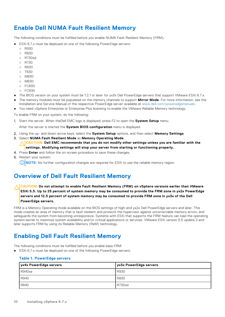### <span id="page-9-0"></span>**Enable Dell NUMA Fault Resilient Memory**

The following conditions must be fulfilled before you enable NUMA Fault Resilient Memory (FRM):

- ESXi 6.7.x must be deployed on one of the following PowerEdge servers:
	- R930
	- $O$  R830
	- R730xd
	- R730
	- R630
	- T630
	- M830
	- M630
	- FC830
	- FC630
- The BIOS version on your system must be 1.2.1 or later for yx3x Dell PowerEdge servers that support VMware ESXi 6.7.x. The memory modules must be populated on the memory channels to support **Mirror Mode**. For more information, see the Installation and Service Manual of the respective PowerEdge server available at [www.dell.com/poweredgemanuals.](https://www.dell.com/poweredgemanuals)
- You need vSphere Enterprise or Enterprise Plus licensing to enable the VMware Reliable Memory technology.

To enable FRM on your system, do the following:

1. Start the server. When theDell EMC logo is displayed, press F2 to open the **System Setup** menu.

After the server is started the **System BIOS configuration** menu is displayed.

- 2. Using the up- and down-arrow keys, select the **System Setup** options, and then select **Memory Settings**.
- 3. Select **NUMA Fault Resilient Mode** as **Memory Operating Mode**.

**CAUTION: Dell EMC recommends that you do not modify other settings unless you are familiar with the settings. Modifying settings will stop your server from starting or functioning properly.**

- 4. Press **Enter** and follow the on-screen procedure to save these changes.
- 5. Restart your system.
	- **NOTE:** No further configuration changes are required for ESXi to use the reliable memory region.

### **Overview of Dell Fault Resilient Memory**

#### **CAUTION: Do not attempt to enable Fault Resilient Memory (FRM) on vSphere versions earlier than VMware ESXi 5.5. Up to 25 percent of system memory may be consumed to provide the FRM zone in yx2x PowerEdge servers and 12.5 percent of system memory may be consumed to provide FRM zone in yx3x of the Dell PowerEdge servers.**

FRM is a Memory Operating mode available on the BIOS settings of high-end yx2x Dell PowerEdge servers and later. This mode creates an area of memory that is fault resilient and protects the hypervisor against uncorrectable memory errors, and safeguards the system from becoming unresponsive. Systems with ESXi that supports the FRM feature can load the operating system kernel to maximize system availability and/or critical applications or services. VMware ESXi version 5.5 update 2 and later supports FRM by using its Reliable Memory (ReM) technology.

## **Enabling Dell Fault Resilient Memory**

The following conditions must be fulfilled before you enable base FRM:

● ESXi 6.7.x must be deploved on one of the following PowerEdge servers:

#### **Table 1. PowerEdge servers**

| yx4x PowerEdge servers | yx3x PowerEdge servers |
|------------------------|------------------------|
| l R940xa               | R930                   |
| R940                   | R830                   |
| R840                   | R730xd                 |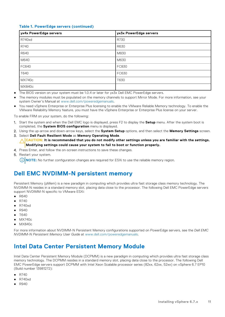#### <span id="page-10-0"></span>**Table 1. PowerEdge servers (continued)**

| yx4x PowerEdge servers | yx3x PowerEdge servers |
|------------------------|------------------------|
| <b>R740xd</b>          | R730                   |
| R740                   | R630                   |
| R640                   | M830                   |
| M640                   | M630                   |
| FC640                  | FC830                  |
| T640                   | FC630                  |
| MX740c                 | T630                   |
| MX840c                 |                        |

- The BIOS version on your system must be 1.0.4 or later for yx3x Dell EMC PowerEdge servers.
- The memory modules must be populated on the memory channels to support Mirror Mode. For more information, see your system Owner's Manual at [www.dell.com/poweredgemanuals.](https://www.dell.com/poweredgemanuals)
- You need vSphere Enterprise or Enterprise Plus licensing to enable the VMware Reliable Memory technology. To enable the VMware Reliability Memory feature, you must have the vSphere Enterprise or Enterprise Plus license on your server.

To enable FRM on your system, do the following:

- 1. Start the system and when the Dell EMC logo is displayed, press F2 to display the **Setup** menu. After the system boot is completed, the **System BIOS configuration** menu is displayed.
- 2. Using the up-arrow and down-arrow keys, select the **System Setup** options, and then select the **Memory Settings** screen. 3. Select **Dell Fault Resilient Mode** as **Memory Operating Mode**.
- **CAUTION: It is recommended that you do not modify other settings unless you are familiar with the settings. Modifying settings could cause your system to fail to boot or function properly.**
- 4. Press Enter, and follow the on-screen instructions to save these changes.
- 5. Restart your system.

**NOTE:** No further configuration changes are required for ESXi to use the reliable memory region.

### **Dell EMC NVDIMM-N persistent memory**

Persistent Memory (pMem) is a new paradigm in computing which provides ultra fast storage class memory technology. The NVDIMM-N resides in a standard memory slot, placing data close to the processor. The following Dell EMC PowerEdge servers support NVDIMM-N specific to VMware ESXi:

- R640
- R740
- R740xd
- R940
- T640
- MX740c
- MX840c

For more information about NVDIMM-N Persistent Memory configurations supported on PowerEdge servers, see the *Dell EMC NVDIMM-N Persistent Memory User Guide* at [www.dell.com/poweredgemanuals.](https://www.dell.com/support/home/us/en/04/product-support/product/poweredge-r940/manuals)

### **Intel Data Center Persistent Memory Module**

Intel Data Center Persistent Memory Module (DCPMM) is a new paradigm in computing which provides ultra fast storage class memory technology. The DCPMM resides in a standard memory slot, placing data close to the processor. The following Dell EMC PowerEdge servers support DCPMM with Intel Xeon Scalable processor series (82xx, 62xx, 52xx) on vSphere 6.7 EP10 (Build number 13981272):

- R740
- R740xd
- **R940**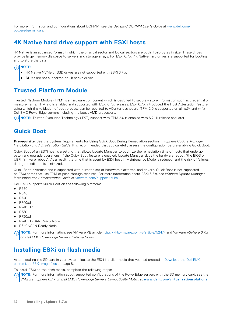<span id="page-11-0"></span>For more information and configurations about DCPMM, see the *Dell EMC DCPMM User's Guide* at [www.dell.com/](https://www.dell.com/support/home/us/en/04/product-support/product/poweredge-r940/manuals) [poweredgemanuals](https://www.dell.com/support/home/us/en/04/product-support/product/poweredge-r940/manuals).

### **4K Native hard drive support with ESXi hosts**

4K Native is an advanced format in which the physical sector and logical sectors are both 4,096 bytes in size. These drives provide large memory dis space to servers and storage arrays. For ESXi 6.7.x, 4K Native hard drives are supported for booting and to store the data.

### **NOTE:**

- 4K Native NVMe or SSD drives are not supported with ESXi 6.7.x.
- RDMs are not supported on 4k native drives.

## **Trusted Platform Module**

Trusted Platform Module (TPM) is a hardware component which is designed to securely store information such as credential or measurements. TPM 2.0 is enabled and supported with ESXi 6.7.x releases. ESXi 6.7.x introduced the Host Attestation feature using which the validation of boot process can be reported to vCenter dashboard. TPM 2.0 is supported on all yx3x and yx4x Dell EMC PowerEdge servers including the latest AMD processors.

**NOTE:** Trusted Execution Technology (TXT) support with TPM 2.0 is enabled with 6.7 U1 release and later.

### **Quick Boot**

**Prerequisite**: See the System Requirements for Using Quick Boot During Remediation section in *vSphere Update Manager Installation and Administration Guide*. It is recommended that you carefully assess the configuration before enabling Quick Boot.

Quick Boot of an ESXi host is a setting that allows Update Manager to optimize the remediation time of hosts that undergo patch and upgrade operations. If the Quick Boot feature is enabled, Update Manager skips the hardware reboot (the BIOS or UEFI firmware reboot). As a result, the time that is spent by ESXi host in Maintenance Mode is reduced, and the risk of failures during remediation is minimized.

Quick Boot is verified and is supported with a limited set of hardware platforms, and drivers. Quick Boot is not supported on ESXi hosts that use TPM or pass-through features. For more information about ESXi 6.7.x, see *vSphere Update Manager Installation and Administration Guide* at [vmware.com/support/pubs.](https://www.vmware.com/support.html)

Dell EMC supports Quick Boot on the following platforms:

- R630
- R640
- R740
- R740xd
- R740xd2
- R730
- R730xd
- R740xd vSAN Ready Node
- R640 vSAN Ready Node

**NOTE:** For more information, see VMware KB article <https://kb.vmware.com/s/article/52477> and *VMware vSphere 6.7.x on Dell EMC PowerEdge Servers Release Notes*.

### **Installing ESXi on flash media**

After installing the SD card in your system, locate the ESXi installer media that you had created in [Download the Dell EMC](#page-7-0) [customized ESXi image files](#page-7-0) on page 8.

To install ESXi on the flash media, complete the following steps:

**NOTE:** For more information about supported configurations of the PowerEdge servers with the SD memory card, see the ⋒ *VMware vSphere 6.7.x on Dell EMC PowerEdge Servers Compatibility Matrix* at **[www.dell.com/virtualizationsolutions](https://www.dell.com/virtualizationsolutions)**.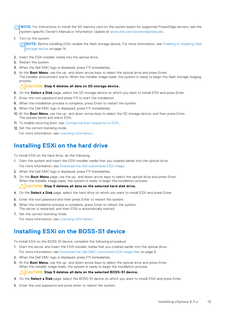- <span id="page-12-0"></span>**NOTE:** For instructions to install the SD memory card on the system board for supported PowerEdge servers, see the system-specific Owner's Manual or Information Update at [www.dell.com/poweredgemanuals](https://www.dell.com/poweredgemanuals).
- 1. Turn on the system.

**NOTE:** Before installing ESXi, enable the flash storage device. For more information, see [Enabling or disabling flash](#page-13-0) [storage device](#page-13-0) on page 14.

- 2. Insert the ESXi installer media into the optical drive.
- 3. Restart the system.
- 4. When the Dell EMC logo is displayed, press F11 immediately.
- 5. At the **Boot Menu**, use the up- and down-arrow keys to select the optical drive and press Enter. The installer environment starts. When the installer image loads, the system is ready to begin the flash storage imaging process.

#### **CAUTION: Step 6 deletes all data on SD storage device.**

- 6. On the **Select a Disk** page, select the SD storage device on which you want to install ESXi and press Enter.
- 7. Enter the root password and press F11 to start the installation.
- 8. When the installation process is complete, press Enter to restart the system.
- 9. When the Dell EMC logo is displayed, press F11 immediately.
- 10. At the **Boot Menu**, use the up- and down-arrow keys to select the SD storage device, and then press Enter. The system boots and starts ESXi.
- 11. To enable recurring boot, see [Configuring boot sequence to ESXi](#page-14-0).
- 12. Set the correct licensing mode.

For more information, see [Licensing information.](#page-22-0)

### **Installing ESXi on the hard drive**

To install ESXi on the hard drive, do the following:

- 1. Start the system and insert the ESXi installer media that you created earlier into the optical drive. For more information, see [Download the Dell customized ESXi image](#page-7-0).
- 2. When the Dell EMC logo is displayed, press F11 immediately.
- 3. On the **Boot Menu** page, use the up- and down-arrow keys to select the optical drive and press Enter. When the installer image loads, the system is ready to begin the installation process.

#### **CAUTION: Step 5 deletes all data on the selected hard disk drive.**

- 4. On the **Select a Disk** page, select the hard drive on which you want to install ESXi and press Enter.
- 5. Enter the root password and then press Enter to restart the system.
- When the installation process is complete, press Enter to reboot the system. The server is restarted, and then ESXi is automatically started.
- 7. Set the correct licensing mode.

For more information, see [Licensing information.](#page-22-0)

### **Installing ESXi on the BOSS-S1 device**

To install ESXi on the BOSS-S1 device, complete the following procedure:

- 1. Start the server and insert the ESXi installer media that you created earlier into the optical drive. For more information, see [Download the Dell EMC customized ESXi image files](#page-7-0) on page 8.
- 2. When the Dell EMC logo is displayed, press F11 immediately.
- 3. At the **Boot Menu**, use the up- and down-arrow keys to select the optical drive and press Enter. When the installer image loads, the system is ready to begin the installation process.

#### **CAUTION: Step 5 deletes all data on the selected BOSS-S1 device.**

- 4. On the **Select a Disk** page, select the BOSS-S1 device on which you want to install ESXi and press Enter.
- 5. Enter the root password and press enter to reboot the system.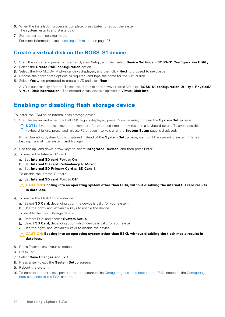- <span id="page-13-0"></span>6. When the installation process is complete, press Enter to reboot the system. The system restarts and starts ESXi.
- 7. Set the correct licensing mode.

For more information, see [Licensing information](#page-22-0) on page 23.

### **Create a virtual disk on the BOSS-S1 device**

- 1. Start the server and press F2 to enter System Setup, and then select **Device Settings** > **BOSS-S1 Configuration Utility** .
- 2. Select the **Create RAID configuration** option.
- 3. Select the two M.2 SATA physical disks displayed, and then click **Next** to proceed to next page.
- 4. Choose the appropriate options as required, and type the name for the virtual disk.
- 5. Select **Yes** when prompted to create a VD and click **Next**.

A VD is successfully created. To see the status of thre newly created VD, click **BOSS-S1 configuration Utility** > **Physical/ Virtual Disk information** . The created virtual disk is displayed in **Virtual Disk Info**.

### **Enabling or disabling flash storage device**

To install the ESXi on an internal flash storage device:

1. Star the server and when the Dell EMC logo is displayed, press F2 immediately to open the **System Setup** page.

**NOTE:** If you press a key on the keyboard for extended time, it may result in a keyboard failure. To avoid possible keyboard failure, press, and release F2 at even intervals until the **System Setup** page is displayed.

If the Operating System logo is displayed instead of the **System Setup** page, wait until the operating system finishes loading. Turn off the system, and try again.

- 2. Use the up- and down-arrow keys to select **Integrated Devices**, and then press Enter.
- 3. To enable the Internal SD card:
	- a. Set **Internal SD card Port** to **On**.
	- b. Set **Internal SD card Redundancy** to **Mirror**.
	- c. Set **Internal SD Primary Card** as **SD Card 1**.

To disable the Internal SD card:

a. Set **Internal SD card Port** to **Off**.

**CAUTION: Booting into an operating system other than ESXi, without disabling the internal SD card results in data loss.**

- 4. To enable the Flash Storage device:
	- a. Select **SD Card**, depending upon the device is valid for your system.
	- b. Use the right- and left-arrow keys to enable the device.

To disable the Flash Storage device:

- a. Restart ESXi and access **System Setup**.
- b. Select **SD Card**, depending upon which device is valid for your system.
- c. Use the right- and left-arrow keys to disable the device.

#### **CAUTION: Booting into an operating system other than ESXi, without disabling the flash media results in data loss.**

- 5. Press Enter to save your selection.
- 6. Press Esc.
- 7. Select **Save Changes and Exit**.
- 8. Press Enter to exit the **System Setup** screen.
- 9. Reboot the system.
- 10. To complete the process, perform the procedure in the [Configuring one-time boot to the ESXi](#page-14-0) section or the [Configuring](#page-14-0) [boot sequence to the ESXi](#page-14-0) section.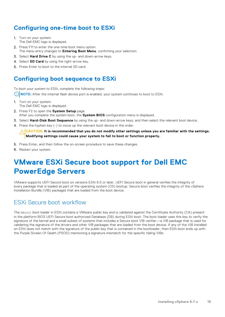### <span id="page-14-0"></span>**Configuring one-time boot to ESXi**

- 1. Turn on your system. The Dell EMC logo is displayed.
- 2. Press F11 to enter the one-time boot menu option. The menu entry changes to **Entering Boot Menu**, confirming your selection.
- 3. Select **Hard Drive C** by using the up- and down-arrow keys.
- 4. Select **SD Card** by using the right-arrow key.
- 5. Press Enter to boot to the internal SD card.

### **Configuring boot sequence to ESXi**

To boot your system to ESXi, complete the following steps:

**NOTE:** After the internal flash device port is enabled, your system continues to boot to ESXi.

- 1. Turn on your system. The Dell EMC logo is displayed.
- 2. Press F2 to open the **System Setup** page. After you complete the system boot, the **System BIOS** configuration menu is displayed.
- 3. Select **Hard-Disk Boot Sequence** by using the up- and down-arrow keys, and then select the relevant boot device.
- 4. Press the hyphen key (-) to move up the relevant boot device in the order.

 $\wedge$   $|$ CAUTION: It is recommended that you do not modify other settings unless you are familiar with the settings. **Modifying settings could cause your system to fail to boot or function properly.**

- 5. Press Enter, and then follow the on-screen procedure to save these changes.
- 6. Restart your system.

## **VMware ESXi Secure boot support for Dell EMC PowerEdge Servers**

VMware supports UEFI Secure boot on versions ESXi 6.5 or later. UEFI Secure boot in general verifies the integrity of every package that is loaded as part of the operating system (OS) bootup. Secure boot verifies the integrity of the vSphere Installation Bundle (VIB) packages that are loaded from the boot device.

### ESXi Secure boot workflow

The mboot boot loader in ESXi contains a VMware public key and is validated against the Certificate Authority (CA) present in the platform BIOS UEFI Secure boot authorized Database (DB) during ESXi boot. The boot loader uses this key to verify the signature of the kernel and a small subset of systems that includes a Secure boot VIB verifier—a VIB package that is used for validating the signature of the drivers and other VIB packages that are loaded from the boot device. If any of the VIB installed on ESXi does not match with the signature of the public key that is contained in the bootloader, then ESXi boot ends up with the Purple Screen Of Death (PSOD) mentioning a signature mismatch for the specific failing VIBs.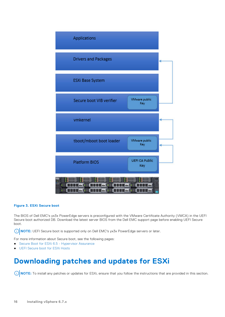<span id="page-15-0"></span>

#### **Figure 3. ESXi Secure boot**

The BIOS of Dell EMC's yx3x PowerEdge servers is preconfigured with the VMware Certificate Authority (VMCA) in the UEFI Secure boot authorized DB. Download the latest server BIOS from the Dell EMC support page before enabling UEFI Secure boot.

**NOTE:** UEFI Secure boot is supported only on Dell EMC's yx3x PowerEdge servers or later.

For more information about Secure boot, see the following pages:

- [Secure Boot for ESXi 6.5 Hypervisor Assurance](https://blogs.vmware.com/vsphere/2017/05/secure-boot-esxi-6-5-hypervisor-assurance.html)
- **[UEFI Secure boot for ESXi Hosts](https://docs.vmware.com/en/VMware-vSphere/6.5/com.vmware.vsphere.security.doc/GUID-5D5EE0D1-2596-43D7-95C8-0B29733191D9.html)**

## **Downloading patches and updates for ESXi**

**(i) NOTE:** To install any patches or updates for ESXi, ensure that you follow the instructions that are provided in this section.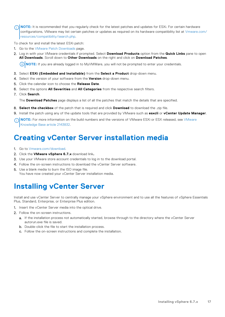<span id="page-16-0"></span>**NOTE:** It is recommended that you regularly check for the latest patches and updates for ESXi. For certain hardware configurations, VMware may list certain patches or updates as required on its hardware compatibility list at [Vmware.com/](https://www.vmware.com/resources/compatibility/search.php) [resources/compatibility/search.php](https://www.vmware.com/resources/compatibility/search.php).

To check for and install the latest ESXi patch:

- 1. Go to the [VMware Patch Downloads](https://my.vmware.com/group/vmware/patch#search) page.
- 2. Log in with your VMware credentials if prompted. Select **Download Products** option from the **Quick Links** pane to open **All Downloads**. Scroll down to **Other Downloads** on the right and click on **Download Patches**.

**NOTE:** If you are already logged in to MyVMWare, you will not be prompted to enter your credentials.

- 3. Select **ESXi (Embedded and Installable)** from the **Select a Product** drop-down menu.
- 4. Select the version of your software from the **Version** drop-down menu.
- 5. Click the calendar icon to choose the **Release Date**.
- 6. Select the options **All Severities** and **All Categories** from the respective search filters.
- 7. Click **Search**.

The **Download Patches** page displays a list of all the patches that match the details that are specified.

- 8. **Select the checkbox** of the patch that is required and click **Download** to download the .zip file.
- 9. Install the patch using any of the update tools that are provided by VMware such as **esxcli** or **vCenter Update Manager**.
- **(i) NOTE:** For more information on the build numbers and the versions of [VMware](https://kb.vmware.com/s/article/2143832) ESXi or ESX released, see VMware [Knowledge Base article 2143832](https://kb.vmware.com/s/article/2143832).

## **Creating vCenter Server installation media**

- 1. Go to [Vmware.com/download.](https://my.vmware.com/web/vmware/downloads)
- 2. Click the **VMware vSphere 6.7.x** download link**.**
- 3. Use your VMware store account credentials to log in to the download portal.
- 4. Follow the on-screen instructions to download the vCenter Server software.
- 5. Use a blank media to burn the ISO image file. You have now created your vCenter Server installation media.

## **Installing vCenter Server**

Install and use vCenter Server to centrally manage your vSphere environment and to use all the features of vSphere Essentials Plus, Standard, Enterprise, or Enterprise Plus edition.

- 1. Insert the vCenter Server media into the optical drive.
- 2. Follow the on-screen instructions.
	- a. If the installation process not automatically started, browse through to the directory where the vCenter Server autorun.exe file is saved.
	- **b.** Double-click the file to start the installation process.
	- c. Follow the on-screen instructions and complete the installation.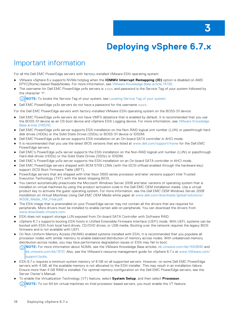# **Deploying vSphere 6.7.x**

## <span id="page-17-0"></span>Important information

For all the Dell EMC PowerEdge servers with factory-installed VMware ESXi operating system:

- VMware vSphere 6.x supports NVMe hotplug when the **IOMMU Interrupt Remapping (ID)** option is disabled on AMD EPYC(Rome) based ReadyNodes. For more information, see [VMware Knowledge Base article 74726](https://kb.vmware.com/s/article/74726).
- The username for Dell EMC PowerEdge yx4x servers is root and password is the Service Tag of your system followed by the character '**!**'.
	- **NOTE:** To locate the Service Tag of your system, see [Locating Service Tag of your system.](#page-27-0)

● Dell EMC PowerEdge yx3x servers do not have a password for the username root.

For the Dell EMC PowerEdge servers with factory-installed VMware ESXi operating system on the BOSS-S1 device:

- Dell EMC PowerEdge yx4x servers do not have VMFS datastore that is enabled by default. It is recommended that you use the BOSS-S1 device as an OS boot device and vSphere ESXi Logging device. For more information, see [VMware Knowledge](https://kb.vmware.com/s/article/2145210) [Base article 2145210](https://kb.vmware.com/s/article/2145210).
- Dell EMC PowerEdge yx4x server supports ESXi installation on the Non-RAID logical unit number (LUN) or passthrough hard disk drives (HDDs) or the Solid State Drives (SSDs) or BOSS-S1 device or IDSDM.
- Dell EMC PowerEdge yx4x server supports ESXi installation on an On-board SATA controller in AHCI mode.
- It is recommended that you use the latest BIOS versions that are listed at [www.dell.com/support/home](https://www.dell.com/support/home) for the Dell EMC PowerEdge servers.
- Dell EMC's PowerEdge yx3x server supports the ESXi installation on the Non-RAID logical unit number (LUN) or passthrough Hard disk drives (HDDs) or the Solid State Drives (SSDs) or IDSDM.
- Dell EMC's PowerEdge yx3x server supports the ESXi installation on an On-board SATA controller in AHCI mode.
- Dell EMC PowerEdge servers shipped with BCM 5709 LOMs (with the iSCSI offload enabled through the hardware key) support iSCSI Boot Firmware Table (iBFT).
- PowerEdge servers that are shipped with Intel Xeon 5600 series processor and later versions support Intel Trusted Execution Technology (TXT) with the latest shipping BIOS.
- You cannot automatically preactivate the Microsoft Windows Server 2008 and later versions of operating system that is installed on virtual machines by using the product activation code in the Dell EMC OEM installation media. Use a virtual product key to activate the guest operating system. For more information, see the *Dell EMC OEM Windows Server 2008 Installation on Virtual Machines Using Dell EMC OEM Media* white paper at [www.dell.com/downloads/global/solutions/](https://www.dell.com/downloads/global/solutions/WS08_Media_VM_Final.pdf) [WS08\\_Media\\_VM\\_Final.pdf](https://www.dell.com/downloads/global/solutions/WS08_Media_VM_Final.pdf).
- The ESXi image that is preinstalled on your PowerEdge server may not contain all the drivers that are required for peripherals. More drivers must be installed to enable certain add-on peripherals. You can download the drivers from [www.downloads.vmware.com.](https://my.vmware.com/web/vmware/downloads)
- ESXi does not support storage LUN exposed from On-board SATA Controller with Software RAID.
- vSphere 6.7.x supports booting ESXi hosts in Unified Extensible Firmware Interface (UEFI) mode. With UEFI, systems can be booted with ESXi from local hard drives, CD/DVD drives, or USB media. Booting over the network requires the legacy BIOS firmware and is not available with UEFI.
- On Non-Uniform Memory Access (NUMA) enabled systems installed with ESXi, It is recommended that you populate all processor nodes with similar memory to enable balanced distribution of memory across nodes. With unbalanced memory distribution across nodes, you may face performance degradation issues or ESXi may fail to boot.

**NOTE:** For more information about NUMA, see the VMware Knowledge Base articles: *[kb.vmware.com/kb/1003690](https://kb.vmware.com/s/article/1003690)* and  $\cap$ *[kb.vmware.com/kb/1570](https://kb.vmware.com/s/article/1570)*. Also, see the VMware's resource management guide for vSphere 6.7.x at [www.VMware.com/](https://www.vmware.com/support/pubs) [support/pubs.](https://www.vmware.com/support/pubs)

- ESXi 6.7.x requires a minimum system memory of 8 GB on all supported servers. However, on some Dell EMC PowerEdge servers with 4 GB, all the available memory is not allocated to the ESXi installer. This may result in an installation failure. Ensure more than 4 GB RAM is installed. For optimal memory configuration on the Dell EMC PowerEdge servers, see the Server Owner's Manual.
- To enable the Virtualization Technology (VT) feature, select **System Setup**, and then select **Processor**.

 $(i)$ **NOTE:** To run 64-bit virtual machines on Intel processor-based servers, you must enable the VT feature.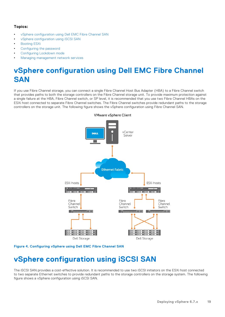### <span id="page-18-0"></span>**Topics:**

- vSphere configuration using Dell EMC Fibre Channel SAN
- vSphere configuration using iSCSI SAN
- [Booting ESXi](#page-19-0)
- [Configuring the password](#page-19-0)
- [Configuring Lockdown mode](#page-20-0)
- [Managing management network services](#page-20-0)

## **vSphere configuration using Dell EMC Fibre Channel SAN**

If you use Fibre Channel storage, you can connect a single Fibre Channel Host Bus Adapter (HBA) to a Fibre Channel switch that provides paths to both the storage controllers on the Fibre Channel storage unit. To provide maximum protection against a single failure at the HBA, Fibre Channel switch, or SP level, it is recommended that you use two Fibre Channel HBAs on the ESXi host connected to separate Fibre Channel switches. The Fibre Channel switches provide redundant paths to the storage controllers on the storage unit. The following figure shows the vSphere configuration using Fibre Channel SAN.



#### **VMware vSphere Client**

**Figure 4. Configuring vSphere using Dell EMC Fibre Channel SAN**

## **vSphere configuration using iSCSI SAN**

The iSCSI SAN provides a cost-effective solution. It is recommended to use two iSCSI initiators on the ESXi host connected to two separate Ethernet switches to provide redundant paths to the storage controllers on the storage system. The following figure shows a vSphere configuration using iSCSI SAN.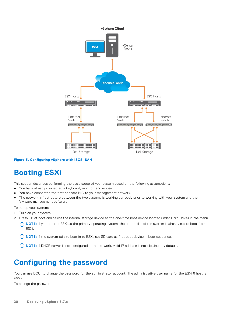<span id="page-19-0"></span>

#### **Figure 5. Configuring vSphere with iSCSI SAN**

## **Booting ESXi**

This section describes performing the basic setup of your system based on the following assumptions:

- You have already connected a keyboard, monitor, and mouse.
- You have connected the first onboard NIC to your management network.
- The network infrastructure between the two systems is working correctly prior to working with your system and the VMware management software.

To set up your system:

- 1. Turn on your system.
- 2. Press F11 at boot and select the internal storage device as the one-time boot device located under Hard Drives in the menu.
	- **(i)** NOTE: If you ordered ESXi as the primary operating system, the boot order of the system is already set to boot from ESXi.

**NOTE:** If the system fails to boot in to ESXi, set SD card as first boot device in boot sequence.

**NOTE:** If DHCP server is not configured in the network, valid IP address is not obtained by default.

## **Configuring the password**

You can use DCUI to change the password for the administrator account. The administrative user name for the ESXi 6 host is root.

To change the password: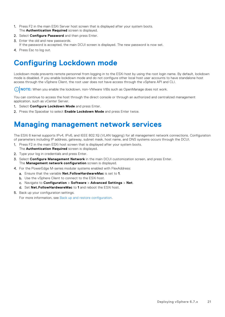- <span id="page-20-0"></span>1. Press F2 in the main ESXi Server host screen that is displayed after your system boots. The **Authentication Required** screen is displayed.
- 2. Select **Configure Password** and then press Enter.
- 3. Enter the old and new passwords. If the password is accepted, the main DCUI screen is displayed. The new password is now set.
- 4. Press Esc to log out.

## **Configuring Lockdown mode**

Lockdown mode prevents remote personnel from logging in to the ESXi host by using the root login name. By default, lockdown mode is disabled. If you enable lockdown mode and do not configure other local host user accounts to have standalone host access through the vSphere Client, the root user does not have access through the vSphere API and CLI.

**NOTE:** When you enable the lockdown, non-VMware VIBs such as OpenManage does not work.

You can continue to access the host through the direct console or through an authorized and centralized management application, such as vCenter Server.

- 1. Select **Configure Lockdown Mode** and press Enter.
- 2. Press the Spacebar to select **Enable Lockdown Mode** and press Enter twice.

## **Managing management network services**

The ESXi 6 kernel supports IPv4, IPv6, and IEEE 802.1Q (VLAN tagging) for all management network connections. Configuration of parameters including IP address, gateway, subnet mask, host name, and DNS systems occurs through the DCUI.

- 1. Press F2 in the main ESXi host screen that is displayed after your system boots. The **Authentication Required** screen is displayed.
- 2. Type your log in credentials and press Enter.
- 3. Select **Configure Management Network** in the main DCUI customization screen, and press Enter. The **Management network configuration** screen is displayed.
- 4. For the PowerEdge M-series modular systems enabled with FlexAddress:
	- a. Ensure that the variable **Net.FollowHardwareMac** is set to **1**.
	- **b.** Use the vSphere Client to connect to the ESXi host.
	- c. Navigate to **Configuration** > **Software** > **Advanced Settings** > **Net**.
	- d. Set **Net.FollowHardwareMac** to **1** and reboot the ESXi host.
- 5. Back up your configuration settings.

For more information, see [Back up and restore configuration.](#page-21-0)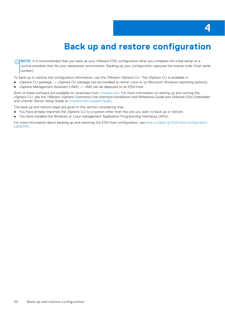# **4**

# **Back up and restore configuration**

<span id="page-21-0"></span>**NOTE:** It is recommended that you back up your VMware ESXi configuration after you complete the initial setup on a routine schedule that fits your datacenter environment. Backing up your configuration captures the license code (host serial number).

- To back up or restore the configuration information, use the VMware vSphere CLI. The vSphere CLI is available in:
- vSphere CLI package vSphere CLI package can be installed on either Linux or on Microsoft Windows operating systems.
- vSphere Management Assistant (vMA) vMA can be deployed on an ESXi host.

Both of these software are available for download from [vmware.com](https://www.vmware.com). For more information on setting up and running the vSphere CLI, see the *VMware vSphere Command-Line Interface Installation and Reference Guide* and *VMware ESXi Embedded and vCenter Server Setup Guide* at [vmware.com/support/pubs.](https://www.vmware.com/support/pubs/)

The back up and restore steps are given in this section considering that:

- You have already imported the vSphere CLI to a system other than the one you want to back up or restore.
- You have installed the Windows or Linux management Application Programming Interfaces (APIs).

For more information about backing up and restoring the ESXi host configuration, see [How to back up ESXi host configuration](https://kb.vmware.com/s/article/2042141) [\(2042141\).](https://kb.vmware.com/s/article/2042141)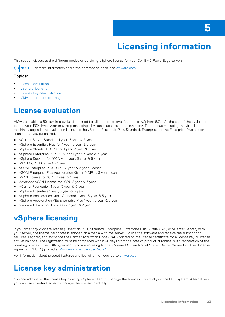# **Licensing information**

<span id="page-22-0"></span>This section discusses the different modes of obtaining vSphere license for your Dell EMC PowerEdge servers.

 $(i)$ **NOTE:** For more information about the different editions, see [vmware.com](https://www.vmware.com/in.html).

### **Topics:**

- License evaluation
- vSphere licensing
- License key administration
- [VMware product licensing](#page-23-0)

## **License evaluation**

VMware enables a 60-day free evaluation period for all enterprise-level features of vSphere 6.7.x. At the end of the evaluation period, your ESXi hypervisor may stop managing all virtual machines in the inventory. To continue managing the virtual machines, upgrade the evaluation license to the vSphere Essentials Plus, Standard, Enterprise, or the Enterprise Plus edition license that you purchased.

- vCenter Server Standard 1 year, 3 year & 5 year
- vSphere Essentials Plus for 1 year, 3 year & 5 year
- vSphere Standard 1 CPU for 1 year, 3 year & 5 year
- vSphere Enterprise Plus 1 CPU for 1 year, 3 year & 5 year
- vSphere Desktop for 100 VMs 1 year, 3 year & 5 year
- vSAN 1 CPU License for 1 year
- vSOM Enterprise Plus 1 CPU, 3 year & 5 year License
- vSOM Enterprise Plus Acceleration Kit for 6 CPUs, 3 year License
- vSAN License for 1CPU 3 year & 5 year
- Advanced vSAN License for 1CPU 3 year & 5 year
- vCenter Foundation 1 year, 3 year & 5 year
- vSphere Essentials 1 year, 3 year & 5 year
- vSphere Acceleration Kits Standard 1 year, 3 year & 5 year
- vSphere Acceleration Kits Enterprise Plus 1 year, 3 year & 5 year
- VMware 6 Basic for 1 processor 1 year & 3 year

## **vSphere licensing**

If you order any vSphere license (Essentials Plus, Standard, Enterprise, Enterprise Plus, Virtual SAN, or vCenter Server) with your server, the license certificate is shipped on a media with the server. To use the software and receive the subscription services, register, and exchange the Partner Activation Code (PAC) printed on the license certificate for a license key or license activation code. The registration must be completed within 30 days from the date of product purchase. With registration of the licensing or use of the ESXi hypervisor, you are agreeing to the VMware ESXi and/or VMware vCenter Server End User License Agreement (EULA) posted at [Vmware.com/download/eula/](https://www.vmware.com/download/eula.html).

For information about product features and licensing methods, go to [vmware.com.](https://www.vmware.com/in.html)

## **License key administration**

You can administer the license key by using vSphere Client to manage the licenses individually on the ESXi system. Alternatively, you can use vCenter Server to manage the licenses centrally.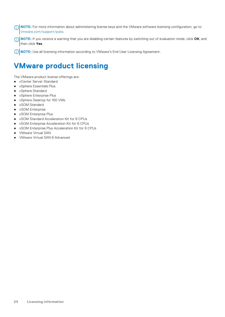<span id="page-23-0"></span>**NOTE:** For more information about administering license keys and the VMware software licensing configuration, go to [Vmware.com/support/pubs](https://www.vmware.com/support/pubs/).

**NOTE:** If you receive a warning that you are disabling certain features by switching out of evaluation mode, click **OK**, and then click **Yes**.

**NOTE:** Use all licensing information according to VMware's End User Licensing Agreement.

## **VMware product licensing**

The VMware product license offerings are:

- vCenter Server Standard
- vSphere Essentials Plus
- vSphere Standard
- vSphere Enterprise Plus
- vSphere Desktop for 100 VMs
- vSOM Standard
- vSOM Enterprise
- vSOM Enterprise Plus
- vSOM Standard Acceleration Kit for 6 CPUs
- vSOM Enterprise Acceleration Kit for 6 CPUs
- vSOM Enterprise Plus Acceleration Kit for 6 CPUs
- VMware Virtual SAN
- VMware Virtual SAN 6 Advanced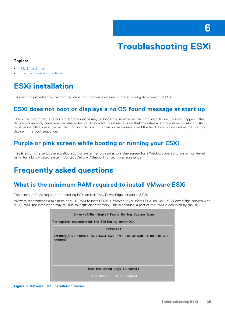# **Troubleshooting ESXi**

### <span id="page-24-0"></span>**Topics:**

- **ESXi installation**
- Frequently asked questions

## **ESXi installation**

This section provides troubleshooting steps for common issues encountered during deployment of ESXi.

### **ESXi does not boot or displays a no OS found message at start up**

Check the boot order. The correct storage device may no longer be selected as the first boot device. This can happen if the device has recently been removed due to failure. To correct this issue, ensure that the internal storage drive on which ESXi must be installed is assigned as the first boot device in the hard drive sequence and the hard drive is assigned as the first boot device in the boot sequence.

### **Purple or pink screen while booting or running your ESXi**

This is a sign of a serious misconfiguration or system error, similar to a blue screen for a Windows operating system or kernel panic for a Linux-based system. Contact Dell EMC Support for technical assistance.

## **Frequently asked questions**

### **What is the minimum RAM required to install VMware ESXi**

The minimum RAM required for installing ESXi on Dell EMC PowerEdge servers is 8 GB.

VMware recommends a minimum of 4 GB RAM to install ESXi. However, if you install ESXi on Dell EMC PowerEdge servers with 4 GB RAM, the installation may fail due to insufficient memory. This is because, a part of the RAM is occupied by the BIOS.

| Error(s)/Warning(s) Found During System Scan                                                                                                |
|---------------------------------------------------------------------------------------------------------------------------------------------|
| The system encountered the following error(s).                                                                                              |
| Error(s)                                                                                                                                    |
| <memory_size_error:_this_host_has_3.91_gib_of_ram._4.00_gib_are<br>need</memory_size_error:_this_host_has_3.91_gib_of_ram._4.00_gib_are<br> |
| Use the arrow keys to scroll                                                                                                                |
| (F9) Back (F11) Reboot                                                                                                                      |

**Figure 6. VMware ESXi installation failure**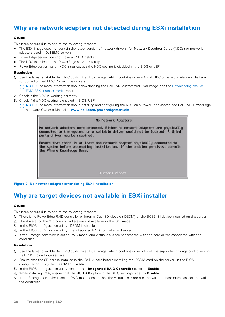### <span id="page-25-0"></span>**Why are network adapters not detected during ESXi installation**

#### **Cause**:

This issue occurs due to one of the following reasons:

- The ESXi image does not contain the latest version of network drivers, for Network Daughter Cards (NDCs) or network adapters used in Dell EMC servers.
- PowerEdge server does not have an NDC installed.
- The NDC installed on the PowerEdge server is faulty
- PowerEdge server has an NDC installed, but the NDC setting is disabled in the BIOS or UEFI.

#### **Resolution**:

- 1. Use the latest available Dell EMC customized ESXi image, which contains drivers for all NDC or network adapters that are supported on Dell EMC PowerEdge servers.
	- **(i)** NOTE: For more information about downloading the Dell EMC customized ESXi image, see the [Downloading the Dell](#page-7-0) [EMC ESXi installer media](#page-7-0) section.
- 2. Check if the NDC is working correctly.
- 3. Check if the NDC setting is enabled in BIOS/UEFI.

**NOTE:** For more information about installing and configuring the NDC on a PowerEdge server, see Dell EMC PowerEdge hardware Owner's Manual at **[www.dell.com/poweredgemanuals](https://www.dell.com/poweredgemanuals)**.

#### No Network Adapters

No network adapters were detected. Either no network adapters are physically connected to the system, or a suitable driver could not be located. A third party driver may be required.

Ensure that there is at least one network adapter physically connected to the system before attempting installation. If the problem persists, consult the VMuare Knowledge Base.

(Enter) Reboot

**Figure 7. No network adapter error during ESXi installation**

### **Why are target devices not available in ESXi installer**

#### **Cause**:

This issue occurs due to one of the following reasons:

- 1. There is no PowerEdge RAID controller or Internal Dual SD Module (IDSDM) or the BOSS-S1 device installed on the server.
- 2. The drivers for the Storage controllers are not available in the ISO image.
- 3. In the BIOS configuration utility, IDSDM is disabled.
- 4. In the BIOS configuration utility, the Integrated RAID controller is disabled.
- 5. If the Storage controller is set to RAID mode, and virtual disks are not created with the hard drives associated with the controller.

#### **Resolution**:

- 1. Use the latest available Dell EMC customized ESXi image, which contains drivers for all the supported storage controllers on Dell EMC PowerEdge servers.
- 2. Ensure that the SD card is installed in the IDSDM card before installing the IDSDM card on the server. In the BIOS configuration utility, set IDSDM to **Enable**.
- 3. In the BIOS configuration utility, ensure that **Integrated RAID Controller** is set to **Enable**.
- 4. While installing ESXi, ensure that the **USB 3.0** option in the BIOS settings is set to **Disable**.
- 5. If the Storage controller is set to RAID mode, ensure that the virtual disks are created with the hard drives associated with the controller.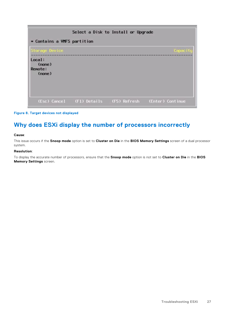<span id="page-26-0"></span>

| Select a Disk to Install or Upgrade<br>* Contains a VMFS partition |                                        |  |                  |
|--------------------------------------------------------------------|----------------------------------------|--|------------------|
| Storage Device<br>Local:<br>(none)<br><b>Renote:</b><br>(none)     |                                        |  | Capacity         |
|                                                                    | (Esc) Cancel (F1) Details (F5) Refresh |  | (Enter) Continue |

#### **Figure 8. Target devices not displayed**

## **Why does ESXi display the number of processors incorrectly**

#### **Cause**:

This issue occurs if the **Snoop mode** option is set to **Cluster on Die** in the **BIOS Memory Settings** screen of a dual processor system.

#### **Resolution**:

To display the accurate number of processors, ensure that the **Snoop mode** option is not set to **Cluster on Die** in the **BIOS Memory Settings** screen.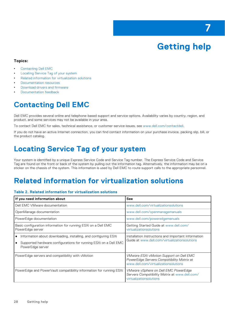# **Getting help**

**7**

#### <span id="page-27-0"></span>**Topics:**

- Contacting Dell EMC
- Locating Service Tag of your system
- Related information for virtualization solutions
- [Documentation resources](#page-29-0)
- [Download drivers and firmware](#page-31-0)
- [Documentation feedback](#page-31-0)

## **Contacting Dell EMC**

Dell EMC provides several online and telephone-based support and service options. Availability varies by country, region, and product, and some services may not be available in your area.

To contact Dell EMC for sales, technical assistance, or customer service issues, see [www.dell.com/contactdell](https://www.dell.com/contactdell).

If you do not have an active Internet connection, you can find contact information on your purchase invoice, packing slip, bill, or the product catalog.

## **Locating Service Tag of your system**

Your system is identified by a unique Express Service Code and Service Tag number. The Express Service Code and Service Tag are found on the front or back of the system by pulling out the information tag. Alternatively, the information may be on a sticker on the chassis of the system. This information is used by Dell EMC to route support calls to the appropriate personnel.

## **Related information for virtualization solutions**

#### **Table 2. Related information for virtualization solutions**

| If you need information about                                                                                                                           | <b>See</b>                                                                                                                          |
|---------------------------------------------------------------------------------------------------------------------------------------------------------|-------------------------------------------------------------------------------------------------------------------------------------|
| Dell EMC VMware documentation                                                                                                                           | www.dell.com/virtualizationsolutions                                                                                                |
| OpenManage documentation                                                                                                                                | www.dell.com/openmanagemanuals                                                                                                      |
| PowerEdge documentation                                                                                                                                 | www.dell.com/poweredgemanuals                                                                                                       |
| Basic configuration information for running ESXi on a Dell EMC<br>PowerEdge server                                                                      | Getting Started Guide at www.dell.com/<br>virtualizationsolutions                                                                   |
| Information about downloading, installing, and configuring ESXi<br>Supported hardware configurations for running ESXi on a Dell EMC<br>PowerEdge server | Installation Instructions and Important Information<br>Guide at www.dell.com/virtualizationsolutions                                |
| PowerEdge servers and compatibility with vMotion                                                                                                        | <b>VMware ESXi vMotion Support on Dell EMC</b><br>PowerEdge Servers Compatibility Matrix at<br>www.dell.com/virtualizationsolutions |
| PowerEdge and PowerVault compatibility information for running ESXi                                                                                     | VMware vSphere on Dell EMC PowerEdge<br>Servers Compatibility Matrix at www.dell.com/<br>virtualizationsolutions                    |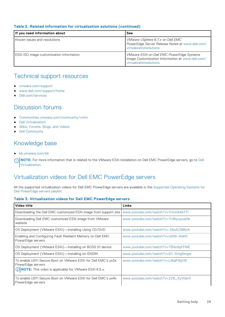### **Table 2. Related information for virtualization solutions (continued)**

| If you need information about            | See                                                                                                                      |
|------------------------------------------|--------------------------------------------------------------------------------------------------------------------------|
| Known issues and resolutions             | VMware vSphere 6.7.x on Dell EMC<br>PowerEdge Server Release Notes at www.dell.com/<br>virtualizationsolutions           |
| ESXI ISO image customization information | VMware ESXi on Dell EMC PowerEdge Systems<br>Image Customization Information at www.dell.com/<br>virtualizationsolutions |

### Technical support resources

- [vmware.com/support](https://www.vmware.com/support.html)
- [www.dell.com/support/home](https://www.dell.com/support/home)
- [Dell.com/services](https://www.dellemc.com/services/index.htm)

### Discussion forums

- [Communities.vmware.com/community/vmtn](https://communities.vmware.com/community/vmtn)
- [Dell Virtualization](https://www.dell.com/support/article/sln312754/dell-virtualization)
- [Wikis, Forums, Blogs, and Videos](https://www.dell.com/support/article/sln312754/dell-virtualization)
- [Dell Community](https://www.dell.com/community/)

### Knowledge base

● [kb.vmware.com/kb](https://kb.vmware.com/selfservice/microsites/microsite.do)

**NOTE:** For more information that is related to the VMware ESXi installation on [Dell](https://www.dell.com/support/article/sln312754/dell-virtualization) EMC PowerEdge servers, go to Dell [Virtualization](https://www.dell.com/support/article/sln312754/dell-virtualization).

### Virtualization videos for Dell EMC PowerEdge servers

All the supported virtualization videos for Dell EMC PowerEdge servers are available in the [Supported Operating Systems for](https://www.youtube.com/playlist?list=PLe5xhhyFjDPfTCaDRFflB_VsoLpL8x84G) [Dell PowerEdge servers playlist](https://www.youtube.com/playlist?list=PLe5xhhyFjDPfTCaDRFflB_VsoLpL8x84G).

#### **Table 3. Virtualization videos for Dell EMC PowerEdge servers**

| Video title                                                                                                                                            | Links                               |
|--------------------------------------------------------------------------------------------------------------------------------------------------------|-------------------------------------|
| Downloading the Dell EMC customized ESXi image from support site                                                                                       | www.youtube.com/watch?v=YnVxtkAkYTI |
| Downloading Dell EMC customized ESXi image from VMware<br>website                                                                                      | www.youtube.com/watch?v=TnWyuyxuk5k |
| OS Deployment (VMware ESXi)-Installing Using CD/DVD                                                                                                    | www.youtube.com/watch?v=-EbufUS86zA |
| Enabling and Configuring Fault Resilient Memory on Dell EMC<br>PowerEdge servers                                                                       | www.youtube.com/watch?v=retSh-XIsK0 |
| OS Deployment (VMware ESXi)—Installing on BOSS S1 device                                                                                               | www.youtube.com/watch?v=TB1loXpFFME |
| OS Deployment (VMware ESXi)—Installing on IDSDM                                                                                                        | www.youtube.com/watch?v=EC-Xntg5mgw |
| To enable UEFI Secure Boot on VMware ESXi for Dell EMC's yx3x<br>PowerEdge servers<br>(i) <b>NOTE:</b> This video is applicable for VMware ESXi 6.5.x. | www.youtube.com/watch?v=Ll9qlF9qV9l |
| To enable UEFI Secure Boot on VMware ESXi for Dell EMC's yx4x<br>PowerEdge servers                                                                     | www.youtube.com/watch?v=ZZB_XyV0enY |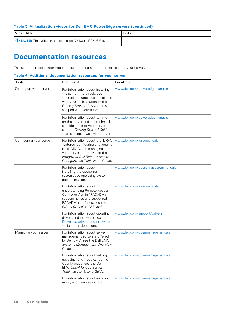### <span id="page-29-0"></span>**Table 3. Virtualization videos for Dell EMC PowerEdge servers (continued)**

| l Video title                                             | Links |
|-----------------------------------------------------------|-------|
| (i) NOTE: This video is applicable for VMware ESXi 6.5.x. |       |

## **Documentation resources**

This section provides information about the documentation resources for your server.

#### **Table 4. Additional documentation resources for your server**

| <b>Task</b>             | <b>Document</b>                                                                                                                                                                                                | Location                            |
|-------------------------|----------------------------------------------------------------------------------------------------------------------------------------------------------------------------------------------------------------|-------------------------------------|
| Setting up your server  | For information about installing<br>the server into a rack, see<br>the rack documentation included<br>with your rack solution or the<br>Getting Started Guide that is<br>shipped with your server.             | www.dell.com/poweredgemanuals       |
|                         | For information about turning<br>on the server and the technical<br>specifications of your server,<br>see the Getting Started Guide<br>that is shipped with your server.                                       | www.dell.com/poweredgemanuals       |
| Configuring your server | For information about the iDRAC<br>features, configuring and logging<br>in to iDRAC, and managing<br>your server remotely, see the<br><b>Integrated Dell Remote Access</b><br>Configuration Tool User's Guide. | www.dell.com/idracmanuals           |
|                         | For information about<br>installing the operating<br>system, see operating system<br>documentation.                                                                                                            | www.dell.com/operatingsystemmanuals |
|                         | For information about<br>understanding Remote Access<br>Controller Admin (RACADM)<br>subcommands and supported<br>RACADM interfaces, see the<br><b>iDRAC RACADM CLI Guide.</b>                                 | www.dell.com/idracmanuals           |
|                         | For information about updating<br>drivers and firmware, see<br>Download drivers and firmware<br>topic in this document.                                                                                        | www.dell.com/support/drivers        |
| Managing your server    | For information about server<br>management software offered<br>by Dell EMC, see the Dell EMC<br><b>Systems Management Overview</b><br>Guide.                                                                   | www.dell.com/openmanagemanuals      |
|                         | For information about setting<br>up, using, and troubleshooting<br>OpenManage, see the Dell<br><b>EMC OpenManage Server</b><br>Administrator User's Guide.                                                     | www.dell.com/openmanagemanuals      |
|                         | For information about installing,<br>using, and troubleshooting                                                                                                                                                | www.dell.com/openmanagemanuals      |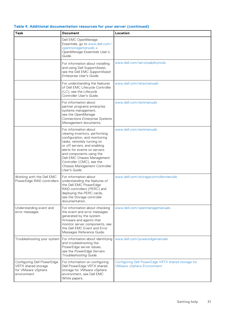| Table 4. Additional documentation resources for your server (continued) |  |
|-------------------------------------------------------------------------|--|
|-------------------------------------------------------------------------|--|

| <b>Task</b>                                                                            | <b>Document</b>                                                                                                                                                                                                                                                                                                                 | Location                                                                                |
|----------------------------------------------------------------------------------------|---------------------------------------------------------------------------------------------------------------------------------------------------------------------------------------------------------------------------------------------------------------------------------------------------------------------------------|-----------------------------------------------------------------------------------------|
|                                                                                        | Dell EMC OpenManage<br>Essentials, go to www.dell.com/<br>openmanagemanuals ><br>OpenManage Essentials User's<br>Guide.                                                                                                                                                                                                         |                                                                                         |
|                                                                                        | For information about installing<br>and using Dell SupportAssist,<br>see the Dell EMC SupportAssist<br>Enterprise User's Guide.                                                                                                                                                                                                 | www.dell.com/serviceabilitytools                                                        |
|                                                                                        | For understanding the features<br>of Dell EMC Lifecycle Controller<br>(LC), see the Lifecycle<br>Controller User's Guide.                                                                                                                                                                                                       | www.dell.com/idracmanuals                                                               |
|                                                                                        | For information about<br>partner programs enterprise<br>systems management,<br>see the OpenManage<br><b>Connections Enterprise Systems</b><br>Management documents.                                                                                                                                                             | www.dell.com/esmmanuals                                                                 |
|                                                                                        | For information about<br>viewing inventory, performing<br>configuration, and monitoring<br>tasks, remotely turning on<br>or off servers, and enabling<br>alerts for events on servers<br>and components using the<br>Dell EMC Chassis Management<br>Controller (CMC), see the<br>Chassis Management Controller<br>User's Guide. | www.dell.com/esmmanuals                                                                 |
| Working with the Dell EMC<br>PowerEdge RAID controllers                                | For information about<br>understanding the features of<br>the Dell EMC PowerEdge<br>RAID controllers (PERC) and<br>deploying the PERC cards,<br>see the Storage controller<br>documentation.                                                                                                                                    | www.dell.com/storagecontrollermanuals                                                   |
| Understanding event and<br>error messages                                              | For information about checking<br>the event and error messages<br>generated by the system<br>firmware and agents that<br>monitor server components, see<br>the Dell EMC Event and Error<br>Messages Reference Guide.                                                                                                            | www.dell.com/openmanagemanuals                                                          |
| Troubleshooting your system                                                            | For information about identifying<br>and troubleshooting the<br>PowerEdge server issues,<br>see the PowerEdge Servers<br>Troubleshooting Guide.                                                                                                                                                                                 | www.dell.com/poweredgemanuals                                                           |
| Configuring Dell PowerEdge<br>VRTX shared storage<br>for VMware vSphere<br>environment | For information on configuring<br>Dell PowerEdge VRTX shared<br>storage for VMware vSphere<br>environment, see Dell EMC<br>White papers.                                                                                                                                                                                        | Configuring Dell PowerEdge VRTX shared storage for<br><b>VMware vSphere Environment</b> |